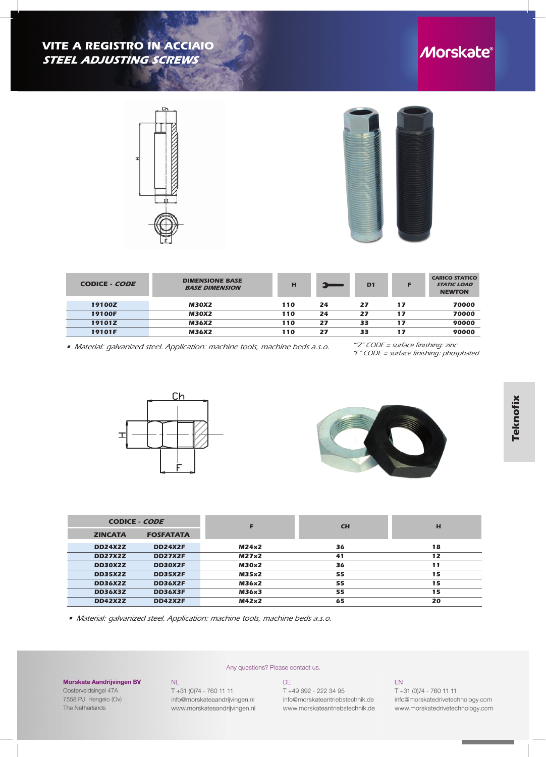



| <b>CODICE - CODE</b> | <b>DIMENSIONE BASE</b><br><b>BASE DIMENSION</b> | н   |    | D <sub>1</sub> | F  | <b>CARICO STATICO</b><br><b>STATIC LOAD</b><br><b>NEWTON</b> |
|----------------------|-------------------------------------------------|-----|----|----------------|----|--------------------------------------------------------------|
| 19100Z               | <b>M30X2</b>                                    | 110 | 24 | 27             | 17 | 70000                                                        |
| 19100F               | M30X2                                           | 110 | 24 | 27             | 17 | 70000                                                        |
| 19101Z               | M36X2                                           | 110 | 27 | 33             | 17 | 90000                                                        |
| 19101F               | M36X2                                           | 110 | 27 | 33             | 17 | 90000                                                        |

*• Material: galvanized steel. Application: machine tools, machine beds a.s.o.*

 *""Z" CODE = surface finishing: zinc "F" CODE = surface finishing: phosphated*





| <b>CODICE - CODE</b> |                  |              | <b>CH</b> | H  |
|----------------------|------------------|--------------|-----------|----|
| <b>ZINCATA</b>       | <b>FOSFATATA</b> |              |           |    |
| <b>DD24X2Z</b>       | <b>DD24X2F</b>   | M24x2        | 36        | 18 |
| <b>DD27X2Z</b>       | <b>DD27X2F</b>   | M27x2        | 41        | 12 |
| DD30X2Z              | DD30X2F          | <b>M30x2</b> | 36        | 11 |
| <b>DD35X2Z</b>       | <b>DD35X2F</b>   | M35x2        | 55        | 15 |
| <b>DD36X2Z</b>       | <b>DD36X2F</b>   | M36x2        | 55        | 15 |
| <b>DD36X3Z</b>       | <b>DD36X3F</b>   | M36x3        | 55        | 15 |
| <b>DD42X2Z</b>       | <b>DD42X2F</b>   | M42x2        | 65        | 20 |

*• Material: galvanized steel. Application: machine tools, machine beds a.s.o.*

T +31 (0)74 - 760 11 11

info@morskateaandrijvingen.nl

www.morskateaandrijvingen.nl

 $\mathsf{NL}$ 

## **Morskate Aandrijvingen BV**

Oosterveldsingel 47A 7558 PJ Hengelo (Ov) The Netherlands

## Any questions? Please contact us.

 $DE$ 

T +49 692 - 222 34 95 info@morskateantriebstechnik.de www.morskateantriebstechnik.de

## $EN$

T +31 (0)74 - 760 11 11 info@morskatedrivetechnology.com www.morskatedrivetechnology.com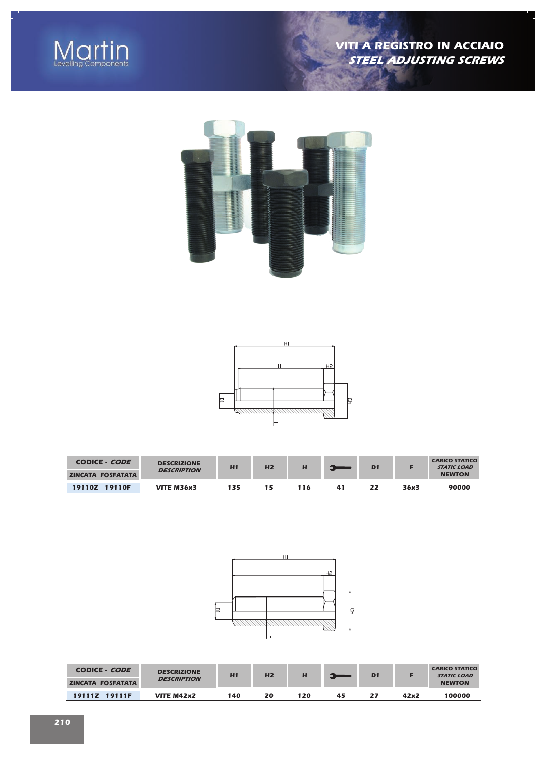

7022





| CODICE - <i>CODE</i>     | <b>DESCRIZIONE</b><br><b>DESCRIPTION</b> | H1  | H <sub>2</sub> | н   |    | D <sub>1</sub> |      | <b>CARICO STATICO</b><br><b>STATIC LOAD</b> |
|--------------------------|------------------------------------------|-----|----------------|-----|----|----------------|------|---------------------------------------------|
| <b>ZINCATA FOSFATATA</b> |                                          |     |                |     |    |                |      | <b>NEWTON</b>                               |
| 19110Z 19110F            | VITE M36x3                               | 135 | 15             | 116 | 41 | 22             | 36x3 | 90000                                       |



| CODICE - CODE<br><b>ZINCATA FOSFATATA</b> | <b>DESCRIZIONE</b><br><b>DESCRIPTION</b> | H1  | H <sub>2</sub> |     |    | D <sub>1</sub> |      | <b>CARICO STATICO</b><br><b>STATIC LOAD</b><br><b>NEWTON</b> |
|-------------------------------------------|------------------------------------------|-----|----------------|-----|----|----------------|------|--------------------------------------------------------------|
|                                           |                                          |     |                |     |    |                |      |                                                              |
| 19111Z 19111F                             | VITE M42x2                               | 140 | 20             | 120 | 45 | 27             | 42x2 | 100000                                                       |